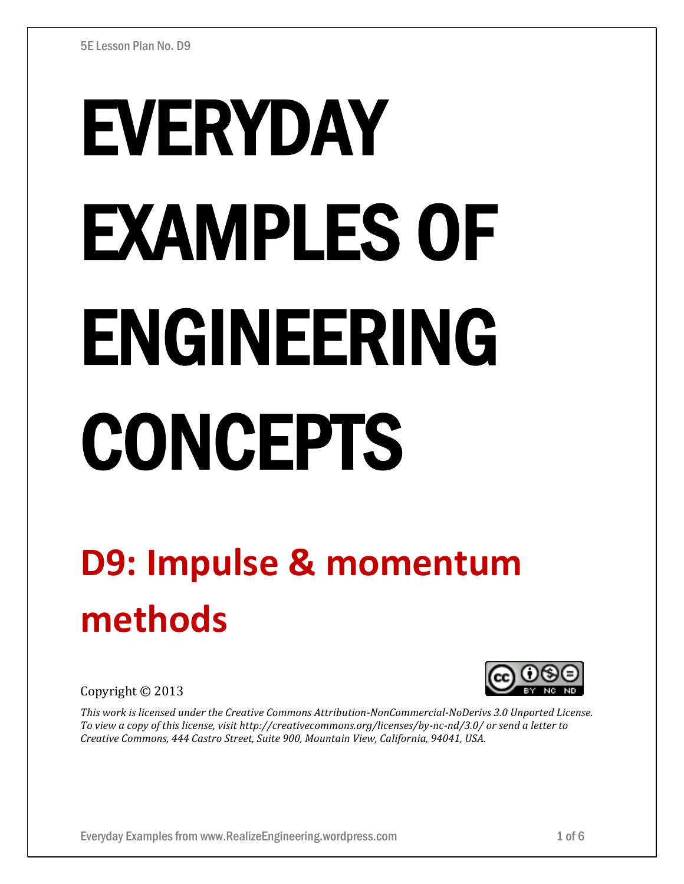# EVERYDAY EXAMPLES OF ENGINEERING CONCEPTS

## **D9: Impulse & momentum methods**

Copyright © 2013

*This work is licensed under the Creative Commons Attribution-NonCommercial-NoDerivs 3.0 Unported License. To view a copy of this license, visit http://creativecommons.org/licenses/by-nc-nd/3.0/ or send a letter to Creative Commons, 444 Castro Street, Suite 900, Mountain View, California, 94041, USA.*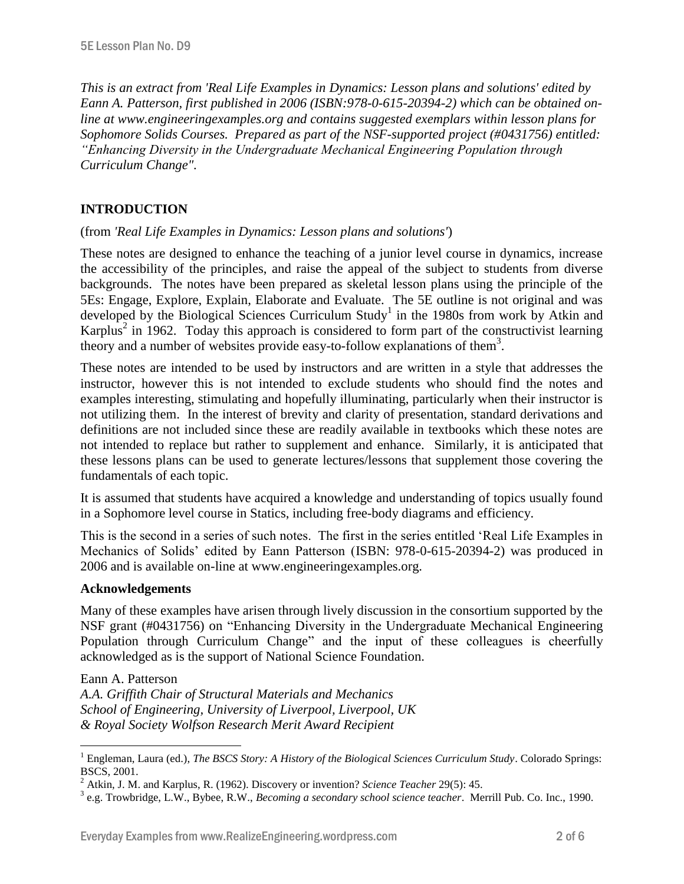*This is an extract from 'Real Life Examples in Dynamics: Lesson plans and solutions' edited by Eann A. Patterson, first published in 2006 (ISBN:978-0-615-20394-2) which can be obtained online at www.engineeringexamples.org and contains suggested exemplars within lesson plans for Sophomore Solids Courses. Prepared as part of the NSF-supported project (#0431756) entitled: "Enhancing Diversity in the Undergraduate Mechanical Engineering Population through Curriculum Change".* 

### **INTRODUCTION**

#### (from *'Real Life Examples in Dynamics: Lesson plans and solutions'*)

These notes are designed to enhance the teaching of a junior level course in dynamics, increase the accessibility of the principles, and raise the appeal of the subject to students from diverse backgrounds. The notes have been prepared as skeletal lesson plans using the principle of the 5Es: Engage, Explore, Explain, Elaborate and Evaluate. The 5E outline is not original and was developed by the Biological Sciences Curriculum Study<sup>1</sup> in the 1980s from work by Atkin and Karplus<sup>2</sup> in 1962. Today this approach is considered to form part of the constructivist learning theory and a number of websites provide easy-to-follow explanations of them<sup>3</sup>.

These notes are intended to be used by instructors and are written in a style that addresses the instructor, however this is not intended to exclude students who should find the notes and examples interesting, stimulating and hopefully illuminating, particularly when their instructor is not utilizing them. In the interest of brevity and clarity of presentation, standard derivations and definitions are not included since these are readily available in textbooks which these notes are not intended to replace but rather to supplement and enhance. Similarly, it is anticipated that these lessons plans can be used to generate lectures/lessons that supplement those covering the fundamentals of each topic.

It is assumed that students have acquired a knowledge and understanding of topics usually found in a Sophomore level course in Statics, including free-body diagrams and efficiency.

This is the second in a series of such notes. The first in the series entitled 'Real Life Examples in Mechanics of Solids' edited by Eann Patterson (ISBN: 978-0-615-20394-2) was produced in 2006 and is available on-line at www.engineeringexamples.org.

#### **Acknowledgements**

Many of these examples have arisen through lively discussion in the consortium supported by the NSF grant (#0431756) on "Enhancing Diversity in the Undergraduate Mechanical Engineering Population through Curriculum Change" and the input of these colleagues is cheerfully acknowledged as is the support of National Science Foundation.

Eann A. Patterson

 $\overline{a}$ 

*A.A. Griffith Chair of Structural Materials and Mechanics School of Engineering, University of Liverpool, Liverpool, UK & Royal Society Wolfson Research Merit Award Recipient*

<sup>&</sup>lt;sup>1</sup> Engleman, Laura (ed.), *The BSCS Story: A History of the Biological Sciences Curriculum Study*. Colorado Springs: BSCS, 2001.

<sup>2</sup> Atkin, J. M. and Karplus, R. (1962). Discovery or invention? *Science Teacher* 29(5): 45.

<sup>3</sup> e.g. Trowbridge, L.W., Bybee, R.W., *Becoming a secondary school science teacher*. Merrill Pub. Co. Inc., 1990.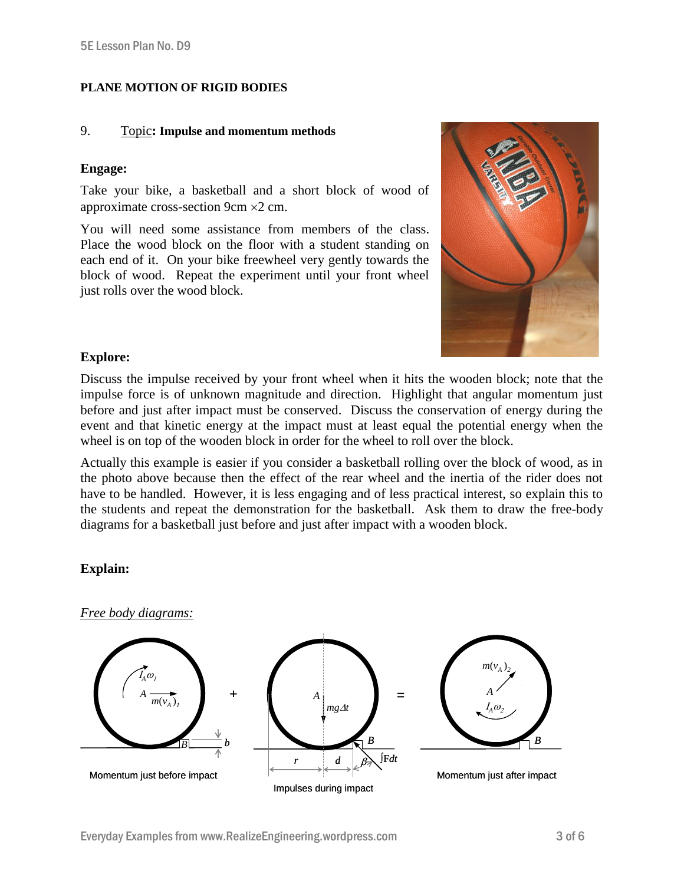#### **PLANE MOTION OF RIGID BODIES**

#### 9. Topic**: Impulse and momentum methods**

#### **Engage:**

Take your bike, a basketball and a short block of wood of approximate cross-section 9cm  $\times$ 2 cm.

You will need some assistance from members of the class. Place the wood block on the floor with a student standing on each end of it. On your bike freewheel very gently towards the block of wood. Repeat the experiment until your front wheel just rolls over the wood block.



#### **Explore:**

Discuss the impulse received by your front wheel when it hits the wooden block; note that the impulse force is of unknown magnitude and direction. Highlight that angular momentum just before and just after impact must be conserved. Discuss the conservation of energy during the event and that kinetic energy at the impact must at least equal the potential energy when the wheel is on top of the wooden block in order for the wheel to roll over the block.

Actually this example is easier if you consider a basketball rolling over the block of wood, as in the photo above because then the effect of the rear wheel and the inertia of the rider does not have to be handled. However, it is less engaging and of less practical interest, so explain this to the students and repeat the demonstration for the basketball. Ask them to draw the free-body diagrams for a basketball just before and just after impact with a wooden block.

#### **Explain:**

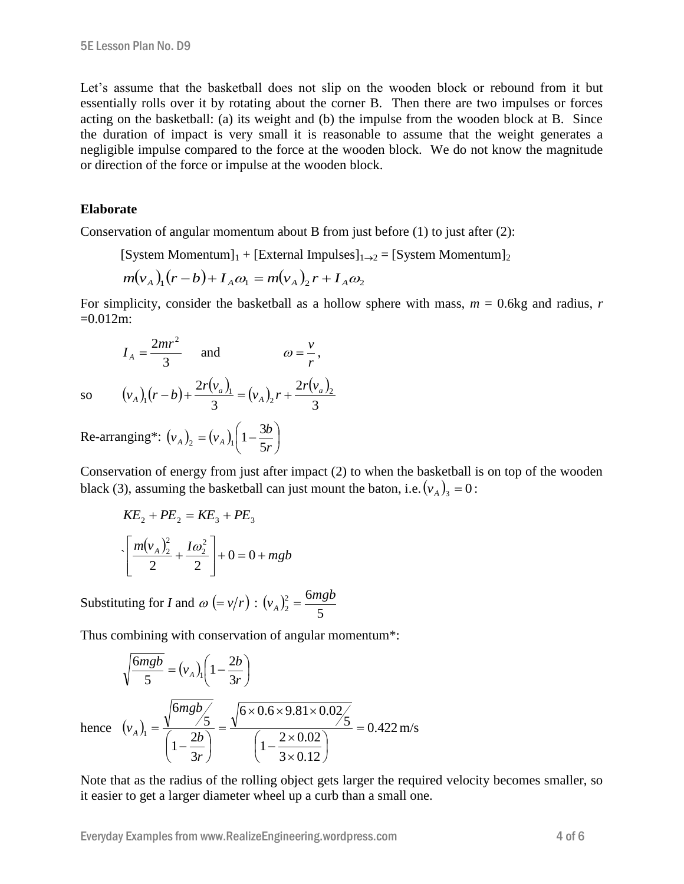Let's assume that the basketball does not slip on the wooden block or rebound from it but essentially rolls over it by rotating about the corner B. Then there are two impulses or forces acting on the basketball: (a) its weight and (b) the impulse from the wooden block at B. Since the duration of impact is very small it is reasonable to assume that the weight generates a negligible impulse compared to the force at the wooden block. We do not know the magnitude or direction of the force or impulse at the wooden block.

#### **Elaborate**

Conservation of angular momentum about B from just before (1) to just after (2):

[System Momentum]<sub>1</sub> + [External Impulses]<sub>1→2</sub> = [System Momentum]<sub>2</sub>

$$
m(v_A)_1(r-b) + I_A \omega_1 = m(v_A)_2 r + I_A \omega_2
$$

For simplicity, consider the basketball as a hollow sphere with mass, *m* = 0.6kg and radius, *r*  $=0.012$ m:

$$
I_A = \frac{2mr^2}{3} \quad \text{and} \quad \omega = \frac{v}{r},
$$

so

 $(v_{A})_1(r-b)$  $(v_a)$  $(v_{\rm A})$  $(v_a)$ 3 2 3  $2 r(v_a)$ <sub>1</sub> (*x*)<sub>x</sub>  $2 r(v_a)$ <sub>2</sub> 2 1 1 *a A a A r v*  $v_{A}$ ,  $r$ *r v*  $(v_A)$ <sub>1</sub> $(r-b) + \frac{2r(v_a)}{a} = (v_A)$ <sub>2</sub> $r +$ 

Re-arranging\*:  $(v_A)_2 = (v_A)_1 | 1 - \frac{3v}{5} |$ J  $\left(1-\frac{3b}{5}\right)$  $\setminus$  $=(v_{A})_1(1$ *r*  $(v_A)_2 = (v_A)_1 \left(1 - \frac{3b}{5r}\right)$  $v_{A}$ <sub>2</sub> =  $(v_{A})_1$  $\left(1-\frac{3}{5}\right)$ 

Conservation of energy from just after impact (2) to when the basketball is on top of the wooden black (3), assuming the basketball can just mount the baton, i.e.  $(v_A)_3 = 0$ :

$$
KE_2 + PE_2 = KE_3 + PE_3
$$
  

$$
\left[ \frac{m(v_A)_2^2}{2} + \frac{I\omega_2^2}{2} \right] + 0 = 0 + mgb
$$

Substituting for *I* and  $\omega$  (=  $v/r$ ) : ( $v_A$ )? 5 <sup>2</sup> 6 2  $(v_A)^2 = \frac{6mgb}{5}$ 

Thus combining with conservation of angular momentum\*:

$$
\sqrt{\frac{6mgb}{5}} = (v_A)_1 \left(1 - \frac{2b}{3r}\right)
$$
  
hence  $(v_A)_1 = \frac{\sqrt{6mgb/5}}{\left(1 - \frac{2b}{3r}\right)} = \frac{\sqrt{6 \times 0.6 \times 9.81 \times 0.02/5}}{\left(1 - \frac{2 \times 0.02}{3 \times 0.12}\right)} = 0.422 \text{ m/s}$ 

Note that as the radius of the rolling object gets larger the required velocity becomes smaller, so it easier to get a larger diameter wheel up a curb than a small one.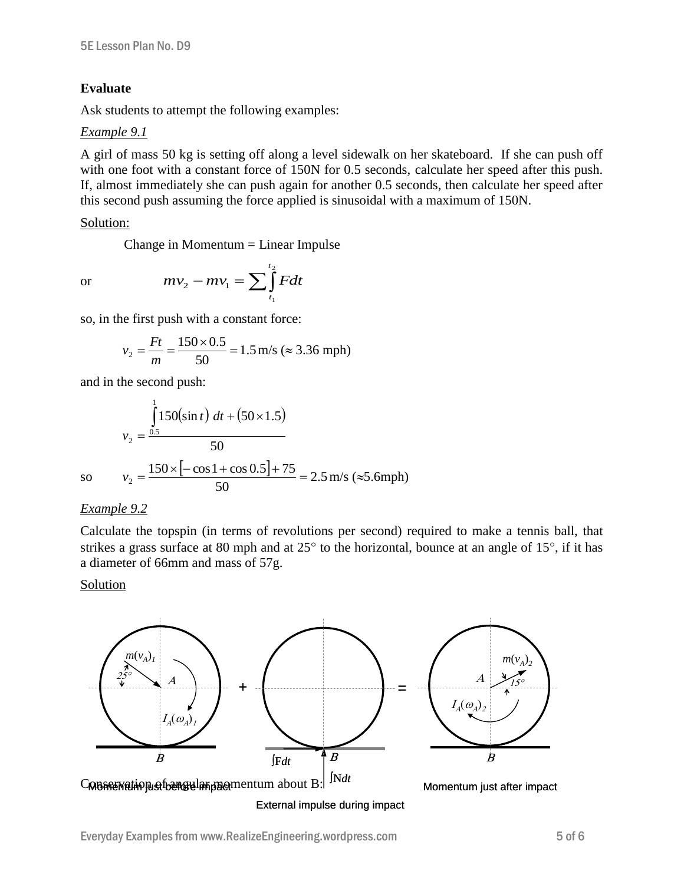#### **Evaluate**

Ask students to attempt the following examples:

#### *Example 9.1*

A girl of mass 50 kg is setting off along a level sidewalk on her skateboard. If she can push off with one foot with a constant force of 150N for 0.5 seconds, calculate her speed after this push. If, almost immediately she can push again for another 0.5 seconds, then calculate her speed after this second push assuming the force applied is sinusoidal with a maximum of 150N.

#### Solution:

Change in Momentum = Linear Impulse

or

$$
mv_2 - mv_1 = \sum_{t_1}^{t_2} Fdt
$$

so, in the first push with a constant force:

$$
v_2 = \frac{Ft}{m} = \frac{150 \times 0.5}{50} = 1.5 \text{ m/s} \approx 3.36 \text{ mph}
$$

and in the second push:

$$
v_2 = \frac{\int_{0.5}^{1} 150(\sin t) dt + (50 \times 1.5)}{50}
$$
  
so  $v_2 = \frac{150 \times [-\cos 1 + \cos 0.5] + 75}{50} = 2.5 \text{ m/s} (\approx 5.6 \text{ mph})$ 

#### *Example 9.2*

Calculate the topspin (in terms of revolutions per second) required to make a tennis ball, that strikes a grass surface at 80 mph and at  $25^{\circ}$  to the horizontal, bounce at an angle of 15°, if it has a diameter of 66mm and mass of 57g.

#### Solution